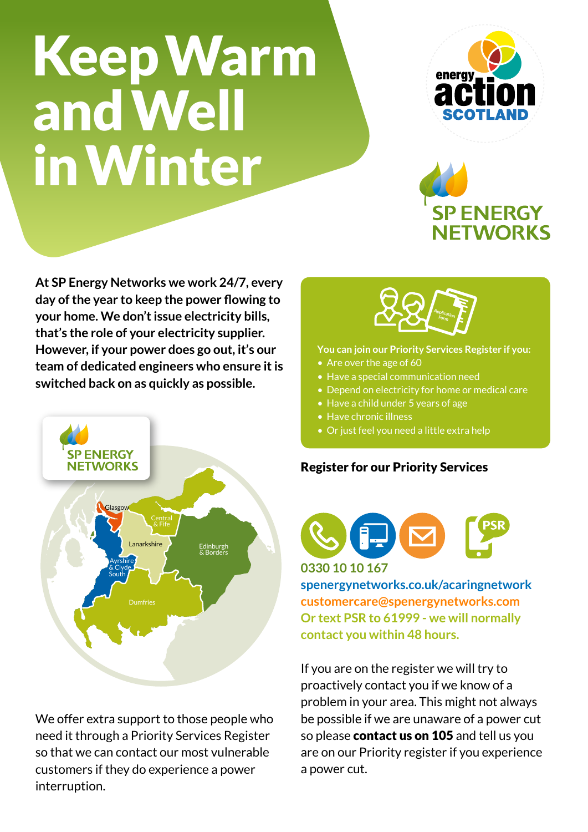# Keep Warm and Well in Winter



# **SP ENERGY NETWORKS**

**At SP Energy Networks we work 24/7, every day of the year to keep the power flowing to your home. We don't issue electricity bills, that's the role of your electricity supplier. However, if your power does go out, it's our team of dedicated engineers who ensure it is switched back on as quickly as possible.** 



We offer extra support to those people who need it through a Priority Services Register so that we can contact our most vulnerable customers if they do experience a power interruption.



#### **You can join our Priority Services Register if you:**

- Are over the age of 60
- Have a special communication need
- Depend on electricity for home or medical care
- Have a child under 5 years of age
- Have chronic illness
- Or just feel you need a little extra help

#### Register for our Priority Services



#### **0330 10 10 167**

**spenergynetworks.co.uk/acaringnetwork customercare@spenergynetworks.com Or text PSR to 61999 - we will normally contact you within 48 hours.**

If you are on the register we will try to proactively contact you if we know of a problem in your area. This might not always be possible if we are unaware of a power cut so please **contact us on 105** and tell us you are on our Priority register if you experience a power cut.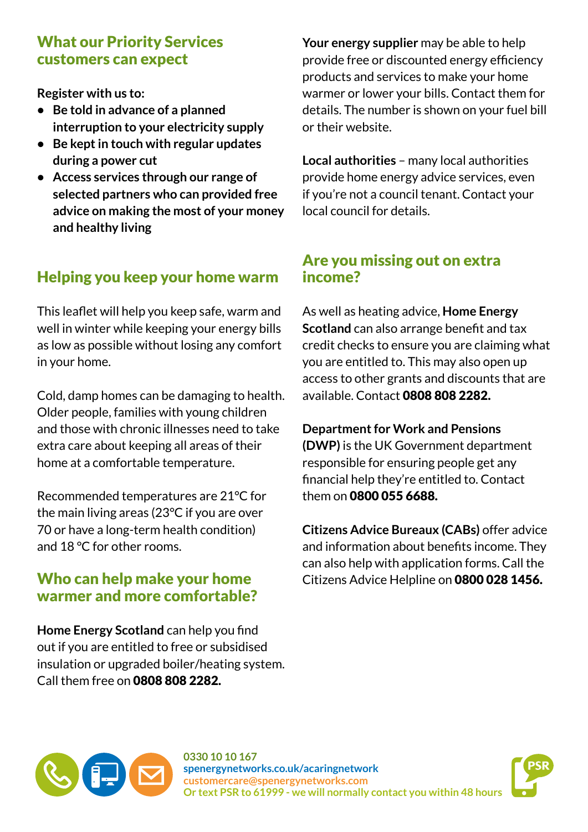#### What our Priority Services customers can expect

**Register with us to:** 

- **• Be told in advance of a planned interruption to your electricity supply**
- **• Be kept in touch with regular updates during a power cut**
- **• Access services through our range of selected partners who can provided free advice on making the most of your money and healthy living**

# Helping you keep your home warm

This leaflet will help you keep safe, warm and well in winter while keeping your energy bills as low as possible without losing any comfort in your home.

Cold, damp homes can be damaging to health. Older people, families with young children and those with chronic illnesses need to take extra care about keeping all areas of their home at a comfortable temperature.

Recommended temperatures are 21°C for the main living areas (23°C if you are over 70 or have a long-term health condition) and 18 °C for other rooms.

### Who can help make your home warmer and more comfortable?

**Home Energy Scotland** can help you find out if you are entitled to free or subsidised insulation or upgraded boiler/heating system. Call them free on 0808 808 2282.

**Your energy supplier** may be able to help provide free or discounted energy efficiency products and services to make your home warmer or lower your bills. Contact them for details. The number is shown on your fuel bill or their website.

**Local authorities** – many local authorities provide home energy advice services, even if you're not a council tenant. Contact your local council for details.

#### Are you missing out on extra income?

As well as heating advice, **Home Energy Scotland** can also arrange benefit and tax credit checks to ensure you are claiming what you are entitled to. This may also open up access to other grants and discounts that are available. Contact 0808 808 2282.

**Department for Work and Pensions (DWP)** is the UK Government department responsible for ensuring people get any financial help they're entitled to. Contact them on 0800 055 6688.

**Citizens Advice Bureaux (CABs)** offer advice and information about benefits income. They can also help with application forms. Call the Citizens Advice Helpline on 0800 028 1456.



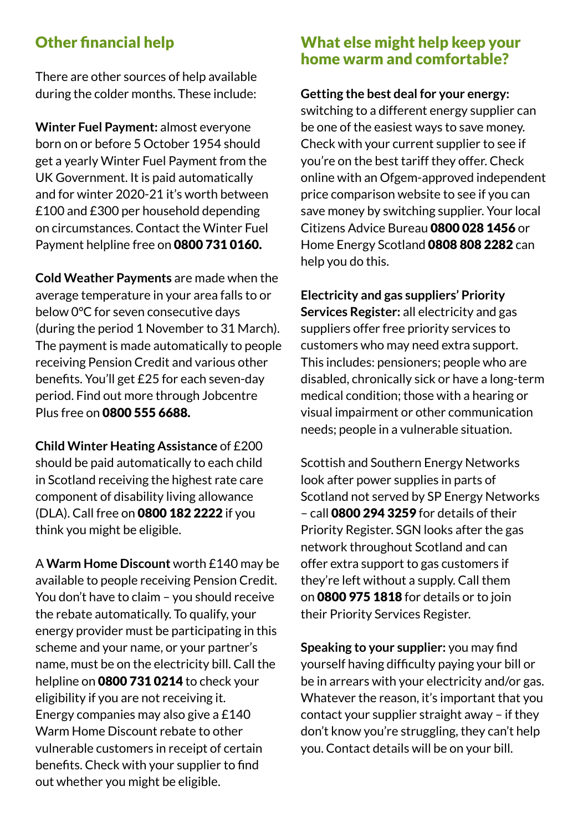### Other financial help

There are other sources of help available during the colder months. These include:

**Winter Fuel Payment:** almost everyone born on or before 5 October 1954 should get a yearly Winter Fuel Payment from the UK Government. It is paid automatically and for winter 2020-21 it's worth between £100 and £300 per household depending on circumstances. Contact the Winter Fuel Payment helpline free on 0800 731 0160.

**Cold Weather Payments** are made when the average temperature in your area falls to or below 0°C for seven consecutive days (during the period 1 November to 31 March). The payment is made automatically to people receiving Pension Credit and various other benefits. You'll get £25 for each seven-day period. Find out more through Jobcentre Plus free on 0800 555 6688.

**Child Winter Heating Assistance** of £200 should be paid automatically to each child in Scotland receiving the highest rate care component of disability living allowance (DLA). Call free on 0800 182 2222 if you think you might be eligible.

A **Warm Home Discount** worth £140 may be available to people receiving Pension Credit. You don't have to claim – you should receive the rebate automatically. To qualify, your energy provider must be participating in this scheme and your name, or your partner's name, must be on the electricity bill. Call the helpline on 0800 731 0214 to check your eligibility if you are not receiving it. Energy companies may also give a £140 Warm Home Discount rebate to other vulnerable customers in receipt of certain benefits. Check with your supplier to find out whether you might be eligible.

#### What else might help keep your home warm and comfortable?

**Getting the best deal for your energy:**  switching to a different energy supplier can be one of the easiest ways to save money. Check with your current supplier to see if you're on the best tariff they offer. Check online with an Ofgem-approved independent price comparison website to see if you can save money by switching supplier. Your local Citizens Advice Bureau 0800 028 1456 or Home Energy Scotland 0808 808 2282 can help you do this.

**Electricity and gas suppliers' Priority Services Register:** all electricity and gas suppliers offer free priority services to customers who may need extra support. This includes: pensioners; people who are disabled, chronically sick or have a long-term medical condition; those with a hearing or visual impairment or other communication needs; people in a vulnerable situation.

Scottish and Southern Energy Networks look after power supplies in parts of Scotland not served by SP Energy Networks – call 0800 294 3259 for details of their Priority Register. SGN looks after the gas network throughout Scotland and can offer extra support to gas customers if they're left without a supply. Call them on 0800 975 1818 for details or to join their Priority Services Register.

**Speaking to your supplier:** you may find yourself having difficulty paying your bill or be in arrears with your electricity and/or gas. Whatever the reason, it's important that you contact your supplier straight away – if they don't know you're struggling, they can't help you. Contact details will be on your bill.